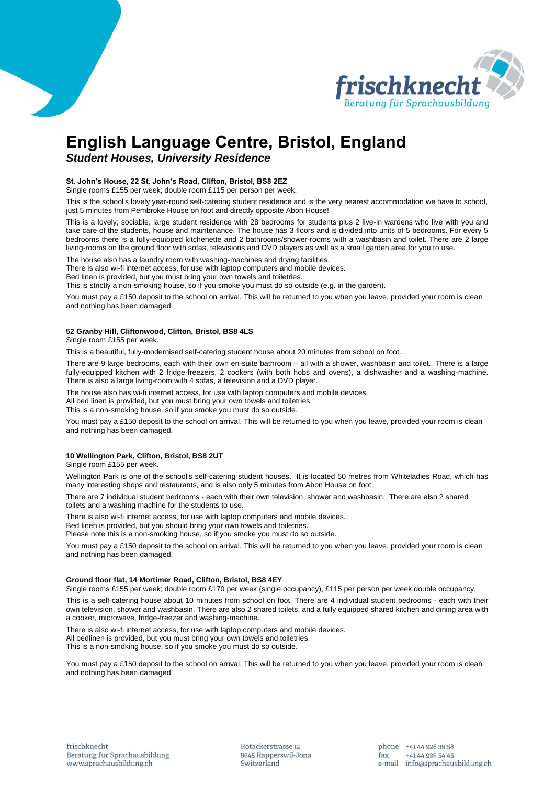

# **English Language Centre, Bristol, England**

# *Student Houses, University Residence*

# **St. John's House, 22 St. John's Road, Clifton, Bristol, BS8 2EZ**

Single rooms £155 per week; double room £115 per person per week.

This is the school's lovely year-round self-catering student residence and is the very nearest accommodation we have to school, just 5 minutes from Pembroke House on foot and directly opposite Abon House!

This is a lovely, sociable, large student residence with 28 bedrooms for students plus 2 live-in wardens who live with you and take care of the students, house and maintenance. The house has 3 floors and is divided into units of 5 bedrooms. For every 5 bedrooms there is a fully-equipped kitchenette and 2 bathrooms/shower-rooms with a washbasin and toilet. There are 2 large living-rooms on the ground floor with sofas, televisions and DVD players as well as a small garden area for you to use.

The house also has a laundry room with washing-machines and drying facilities.

There is also wi-fi internet access, for use with laptop computers and mobile devices.

Bed linen is provided, but you must bring your own towels and toiletries.

This is strictly a non-smoking house, so if you smoke you must do so outside (e.g. in the garden).

You must pay a £150 deposit to the school on arrival. This will be returned to you when you leave, provided your room is clean and nothing has been damaged.

# **52 Granby Hill, Cliftonwood, Clifton, Bristol, BS8 4LS**

Single room £155 per week.

This is a beautiful, fully-modernised self-catering student house about 20 minutes from school on foot.

There are 9 large bedrooms, each with their own en-suite bathroom – all with a shower, washbasin and toilet. There is a large fully-equipped kitchen with 2 fridge-freezers, 2 cookers (with both hobs and ovens), a dishwasher and a washing-machine. There is also a large living-room with 4 sofas, a television and a DVD player.

The house also has wi-fi internet access, for use with laptop computers and mobile devices. All bed linen is provided, but you must bring your own towels and toiletries.

This is a non-smoking house, so if you smoke you must do so outside.

You must pay a £150 deposit to the school on arrival. This will be returned to you when you leave, provided your room is clean and nothing has been damaged.

### **10 Wellington Park, Clifton, Bristol, BS8 2UT**

Single room £155 per week.

Wellington Park is one of the school's self-catering student houses. It is located 50 metres from Whiteladies Road, which has many interesting shops and restaurants, and is also only 5 minutes from Abon House on foot.

There are 7 individual student bedrooms - each with their own television, shower and washbasin. There are also 2 shared toilets and a washing machine for the students to use.

There is also wi-fi internet access, for use with laptop computers and mobile devices.

Bed linen is provided, but you should bring your own towels and toiletries.

Please note this is a non-smoking house, so if you smoke you must do so outside.

You must pay a £150 deposit to the school on arrival. This will be returned to you when you leave, provided your room is clean and nothing has been damaged.

#### **Ground floor flat, 14 Mortimer Road, Clifton, Bristol, BS8 4EY**

Single rooms £155 per week; double room £170 per week (single occupancy), £115 per person per week double occupancy.

This is a self-catering house about 10 minutes from school on foot. There are 4 individual student bedrooms - each with their own television, shower and washbasin. There are also 2 shared toilets, and a fully equipped shared kitchen and dining area with a cooker, microwave, fridge-freezer and washing-machine.

There is also wi-fi internet access, for use with laptop computers and mobile devices.

All bedlinen is provided, but you must bring your own towels and toiletries. This is a non-smoking house, so if you smoke you must do so outside.

You must pay a £150 deposit to the school on arrival. This will be returned to you when you leave, provided your room is clean and nothing has been damaged.